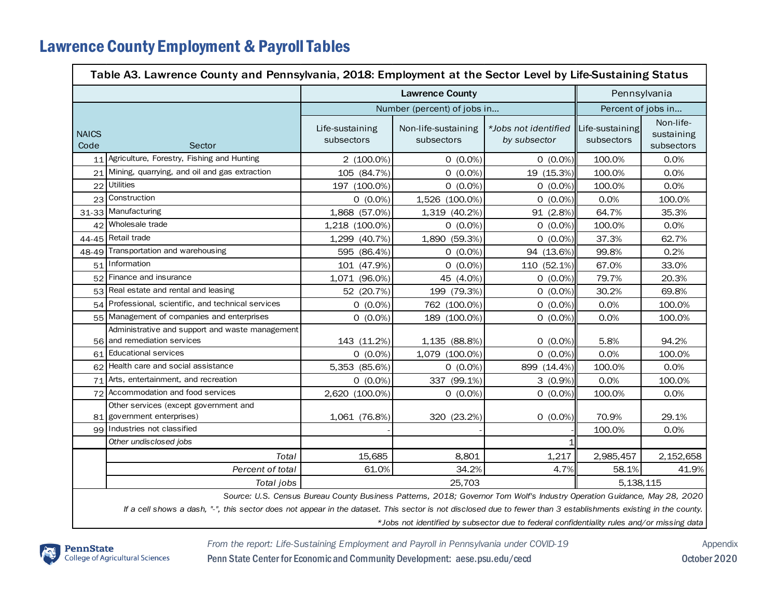## Lawrence County Employment & Payroll Tables

| Table A3. Lawrence County and Pennsylvania, 2018: Employment at the Sector Level by Life-Sustaining Status                                                       |                                                                                |                               |                                   |                                      |                               |                                       |  |  |  |
|------------------------------------------------------------------------------------------------------------------------------------------------------------------|--------------------------------------------------------------------------------|-------------------------------|-----------------------------------|--------------------------------------|-------------------------------|---------------------------------------|--|--|--|
|                                                                                                                                                                  |                                                                                | <b>Lawrence County</b>        |                                   |                                      | Pennsylvania                  |                                       |  |  |  |
|                                                                                                                                                                  |                                                                                | Number (percent) of jobs in   |                                   |                                      | Percent of jobs in            |                                       |  |  |  |
| <b>NAICS</b><br>Code                                                                                                                                             | Sector                                                                         | Life-sustaining<br>subsectors | Non-life-sustaining<br>subsectors | *Jobs not identified<br>by subsector | Life-sustaining<br>subsectors | Non-life-<br>sustaining<br>subsectors |  |  |  |
| 11                                                                                                                                                               | Agriculture, Forestry, Fishing and Hunting                                     | 2 (100.0%)                    | $0(0.0\%)$                        | $0(0.0\%)$                           | 100.0%                        | 0.0%                                  |  |  |  |
| 21                                                                                                                                                               | Mining, quarrying, and oil and gas extraction                                  | 105 (84.7%)                   | $0(0.0\%)$                        | 19 (15.3%)                           | 100.0%                        | 0.0%                                  |  |  |  |
| 22                                                                                                                                                               | <b>Utilities</b>                                                               | 197 (100.0%)                  | $0(0.0\%)$                        | $0(0.0\%)$                           | 100.0%                        | 0.0%                                  |  |  |  |
|                                                                                                                                                                  | 23 Construction                                                                | $0(0.0\%)$                    | 1,526 (100.0%)                    | $0(0.0\%)$                           | 0.0%                          | 100.0%                                |  |  |  |
|                                                                                                                                                                  | 31-33 Manufacturing                                                            | 1,868 (57.0%)                 | 1,319 (40.2%)                     | 91 (2.8%)                            | 64.7%                         | 35.3%                                 |  |  |  |
| 42                                                                                                                                                               | Wholesale trade                                                                | 1,218 (100.0%)                | $0(0.0\%)$                        | $0(0.0\%)$                           | 100.0%                        | 0.0%                                  |  |  |  |
| 44-45                                                                                                                                                            | Retail trade                                                                   | 1,299 (40.7%)                 | 1,890 (59.3%)                     | $0(0.0\%)$                           | 37.3%                         | 62.7%                                 |  |  |  |
|                                                                                                                                                                  | 48-49 Transportation and warehousing                                           | 595 (86.4%)                   | $0(0.0\%)$                        | 94 (13.6%)                           | 99.8%                         | 0.2%                                  |  |  |  |
|                                                                                                                                                                  | 51 Information                                                                 | 101 (47.9%)                   | $0(0.0\%)$                        | 110 (52.1%)                          | 67.0%                         | 33.0%                                 |  |  |  |
|                                                                                                                                                                  | 52 Finance and insurance                                                       | 1,071 (96.0%)                 | 45 (4.0%)                         | $0(0.0\%)$                           | 79.7%                         | 20.3%                                 |  |  |  |
| 53                                                                                                                                                               | Real estate and rental and leasing                                             | 52 (20.7%)                    | 199 (79.3%)                       | $0(0.0\%)$                           | 30.2%                         | 69.8%                                 |  |  |  |
| 54                                                                                                                                                               | Professional, scientific, and technical services                               | $0(0.0\%)$                    | 762 (100.0%)                      | $0(0.0\%)$                           | 0.0%                          | 100.0%                                |  |  |  |
| 55                                                                                                                                                               | Management of companies and enterprises                                        | $0(0.0\%)$                    | 189 (100.0%)                      | $0(0.0\%)$                           | 0.0%                          | 100.0%                                |  |  |  |
|                                                                                                                                                                  | Administrative and support and waste management<br>56 and remediation services | 143 (11.2%)                   | 1,135 (88.8%)                     | $0(0.0\%)$                           | 5.8%                          | 94.2%                                 |  |  |  |
| 61                                                                                                                                                               | <b>Educational services</b>                                                    | $0(0.0\%)$                    | 1,079 (100.0%)                    | $0(0.0\%)$                           | 0.0%                          | 100.0%                                |  |  |  |
| 62                                                                                                                                                               | Health care and social assistance                                              | 5,353 (85.6%)                 | $0(0.0\%)$                        | 899 (14.4%)                          | 100.0%                        | 0.0%                                  |  |  |  |
| 71                                                                                                                                                               | Arts, entertainment, and recreation                                            | $0(0.0\%)$                    | 337 (99.1%)                       | $3(0.9\%)$                           | 0.0%                          | 100.0%                                |  |  |  |
| 72                                                                                                                                                               | Accommodation and food services                                                | 2,620 (100.0%)                | $0(0.0\%)$                        | $0(0.0\%)$                           | 100.0%                        | 0.0%                                  |  |  |  |
|                                                                                                                                                                  | Other services (except government and<br>81 government enterprises)            | 1,061 (76.8%)                 | 320 (23.2%)                       | $0(0.0\%)$                           | 70.9%                         | 29.1%                                 |  |  |  |
|                                                                                                                                                                  | 99 Industries not classified                                                   |                               |                                   |                                      | 100.0%                        | 0.0%                                  |  |  |  |
|                                                                                                                                                                  | Other undisclosed jobs                                                         |                               |                                   | 1                                    |                               |                                       |  |  |  |
|                                                                                                                                                                  | Total                                                                          | 15,685                        | 8,801                             | 1,217                                | 2,985,457                     | 2,152,658                             |  |  |  |
|                                                                                                                                                                  | Percent of total                                                               | 61.0%                         | 34.2%                             | 4.7%                                 | 58.1%                         | 41.9%                                 |  |  |  |
|                                                                                                                                                                  | Total jobs                                                                     | 25,703<br>5.138.115           |                                   |                                      |                               |                                       |  |  |  |
| Source: U.S. Census Bureau County Business Patterns, 2018; Governor Tom Wolf's Industry Operation Guidance, May 28, 2020                                         |                                                                                |                               |                                   |                                      |                               |                                       |  |  |  |
| If a cell shows a dash, "-", this sector does not appear in the dataset. This sector is not disclosed due to fewer than 3 establishments existing in the county. |                                                                                |                               |                                   |                                      |                               |                                       |  |  |  |

*\*Jobs not identified by subsector due to federal confidentiality rules and/or missing data*



*From the report: Life-Sustaining Employment and Payroll in Pennsylvania under COVID-19* Appendix

Penn State Center for Economic and Community Development: aese.psu.edu/cecd October 2020